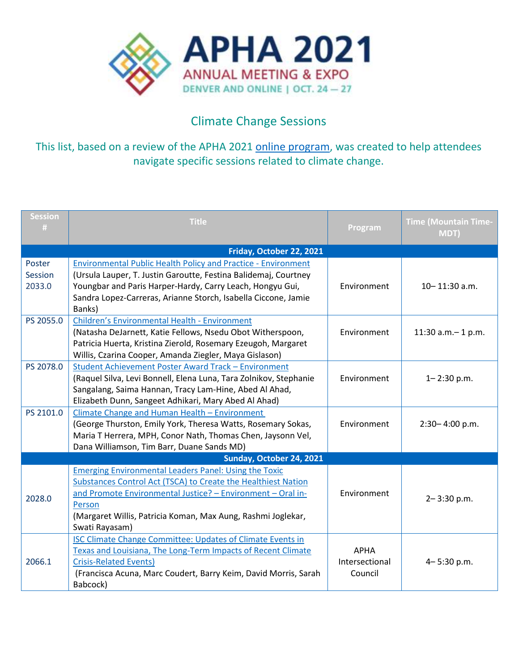

## Climate Change Sessions

This list, based on a review of the APHA 2021 [online program,](https://apha.confex.com/apha/2021/meetingapp.cgi) was created to help attendees navigate specific sessions related to climate change.

| <b>Session</b><br>W      | <b>Title</b>                                                         | Program        | <b>Time (Mountain Time-</b><br>MDT) |  |  |
|--------------------------|----------------------------------------------------------------------|----------------|-------------------------------------|--|--|
| Friday, October 22, 2021 |                                                                      |                |                                     |  |  |
| Poster                   | <b>Environmental Public Health Policy and Practice - Environment</b> |                |                                     |  |  |
| Session                  | (Ursula Lauper, T. Justin Garoutte, Festina Balidemaj, Courtney      |                |                                     |  |  |
| 2033.0                   | Youngbar and Paris Harper-Hardy, Carry Leach, Hongyu Gui,            | Environment    | 10-11:30 a.m.                       |  |  |
|                          | Sandra Lopez-Carreras, Arianne Storch, Isabella Ciccone, Jamie       |                |                                     |  |  |
|                          | Banks)                                                               |                |                                     |  |  |
| PS 2055.0                | <b>Children's Environmental Health - Environment</b>                 |                |                                     |  |  |
|                          | (Natasha DeJarnett, Katie Fellows, Nsedu Obot Witherspoon,           | Environment    | 11:30 $a.m.-1 p.m.$                 |  |  |
|                          | Patricia Huerta, Kristina Zierold, Rosemary Ezeugoh, Margaret        |                |                                     |  |  |
|                          | Willis, Czarina Cooper, Amanda Ziegler, Maya Gislason)               |                |                                     |  |  |
| PS 2078.0                | Student Achievement Poster Award Track - Environment                 |                |                                     |  |  |
|                          | (Raquel Silva, Levi Bonnell, Elena Luna, Tara Zolnikov, Stephanie    | Environment    | $1 - 2:30$ p.m.                     |  |  |
|                          | Sangalang, Saima Hannan, Tracy Lam-Hine, Abed Al Ahad,               |                |                                     |  |  |
|                          | Elizabeth Dunn, Sangeet Adhikari, Mary Abed Al Ahad)                 |                |                                     |  |  |
| PS 2101.0                | Climate Change and Human Health - Environment                        |                |                                     |  |  |
|                          | (George Thurston, Emily York, Theresa Watts, Rosemary Sokas,         | Environment    | $2:30 - 4:00$ p.m.                  |  |  |
|                          | Maria T Herrera, MPH, Conor Nath, Thomas Chen, Jaysonn Vel,          |                |                                     |  |  |
|                          | Dana Williamson, Tim Barr, Duane Sands MD)                           |                |                                     |  |  |
|                          | Sunday, October 24, 2021                                             |                |                                     |  |  |
|                          | <b>Emerging Environmental Leaders Panel: Using the Toxic</b>         |                |                                     |  |  |
|                          | Substances Control Act (TSCA) to Create the Healthiest Nation        |                |                                     |  |  |
| 2028.0                   | and Promote Environmental Justice? - Environment - Oral in-          | Environment    | $2 - 3:30$ p.m.                     |  |  |
|                          | Person                                                               |                |                                     |  |  |
|                          | (Margaret Willis, Patricia Koman, Max Aung, Rashmi Joglekar,         |                |                                     |  |  |
|                          | Swati Rayasam)                                                       |                |                                     |  |  |
| 2066.1                   | <b>ISC Climate Change Committee: Updates of Climate Events in</b>    |                |                                     |  |  |
|                          | Texas and Louisiana, The Long-Term Impacts of Recent Climate         | <b>APHA</b>    |                                     |  |  |
|                          | <b>Crisis-Related Events)</b>                                        | Intersectional | $4 - 5:30$ p.m.                     |  |  |
|                          | (Francisca Acuna, Marc Coudert, Barry Keim, David Morris, Sarah      | Council        |                                     |  |  |
|                          | Babcock)                                                             |                |                                     |  |  |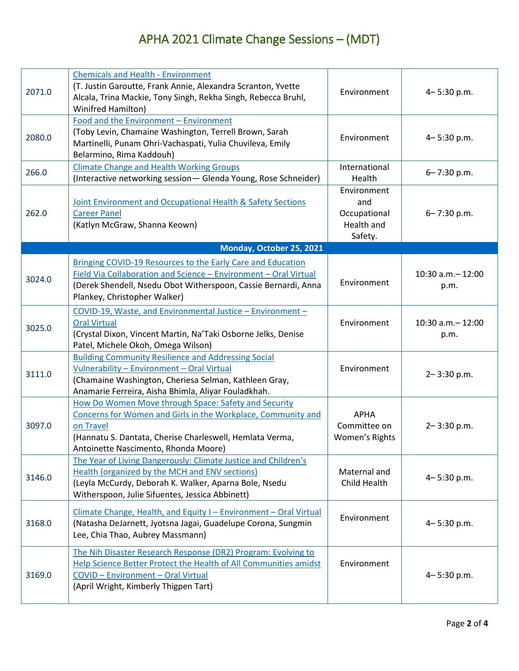## APHA 2021 Climate Change Sessions – (MDT)

| 2071.0 | <b>Chemicals and Health - Environment</b><br>(T. Justin Garoutte, Frank Annie, Alexandra Scranton, Yvette<br>Alcala, Trina Mackie, Tony Singh, Rekha Singh, Rebecca Bruhl,<br>Winifred Hamilton)                                      | Environment                                                 | 4-5:30 p.m.                |
|--------|---------------------------------------------------------------------------------------------------------------------------------------------------------------------------------------------------------------------------------------|-------------------------------------------------------------|----------------------------|
| 2080.0 | Food and the Environment - Environment<br>(Toby Levin, Chamaine Washington, Terrell Brown, Sarah<br>Martinelli, Punam Ohri-Vachaspati, Yulia Chuvileva, Emily<br>Belarmino, Rima Kaddouh)                                             | Environment                                                 | $4 - 5:30$ p.m.            |
| 266.0  | <b>Climate Change and Health Working Groups</b><br>(Interactive networking session- Glenda Young, Rose Schneider)                                                                                                                     | International<br>Health                                     | 6-7:30 p.m.                |
| 262.0  | Joint Environment and Occupational Health & Safety Sections<br><b>Career Panel</b><br>(Katlyn McGraw, Shanna Keown)                                                                                                                   | Environment<br>and<br>Occupational<br>Health and<br>Safety. | 6-7:30 p.m.                |
|        | Monday, October 25, 2021                                                                                                                                                                                                              |                                                             |                            |
| 3024.0 | Bringing COVID-19 Resources to the Early Care and Education<br>Field Via Collaboration and Science - Environment - Oral Virtual<br>(Derek Shendell, Nsedu Obot Witherspoon, Cassie Bernardi, Anna<br>Plankey, Christopher Walker)     | Environment                                                 | 10:30 a.m. - 12:00<br>p.m. |
| 3025.0 | COVID-19, Waste, and Environmental Justice - Environment -<br><b>Oral Virtual</b><br>(Crystal Dixon, Vincent Martin, Na'Taki Osborne Jelks, Denise<br>Patel, Michele Okoh, Omega Wilson)                                              | Environment                                                 | 10:30 a.m. - 12:00<br>p.m. |
| 3111.0 | <b>Building Community Resilience and Addressing Social</b><br>Vulnerability - Environment - Oral Virtual<br>(Chamaine Washington, Cheriesa Selman, Kathleen Gray,<br>Anamarie Ferreira, Aisha Bhimla, Aliyar Fouladkhah.              | Environment                                                 | 2-3:30 p.m.                |
| 3097.0 | How Do Women Move through Space: Safety and Security<br>Concerns for Women and Girls in the Workplace, Community and<br>on Travel<br>(Hannatu S. Dantata, Cherise Charleswell, Hemlata Verma,<br>Antoinette Nascimento, Rhonda Moore) | <b>APHA</b><br>Committee on<br>Women's Rights               | $2 - 3:30$ p.m.            |
| 3146.0 | The Year of Living Dangerously: Climate Justice and Children's<br><b>Health (organized by the MCH and ENV sections)</b><br>(Leyla McCurdy, Deborah K. Walker, Aparna Bole, Nsedu<br>Witherspoon, Julie Sifuentes, Jessica Abbinett)   | Maternal and<br>Child Health                                | 4-5:30 p.m.                |
| 3168.0 | Climate Change, Health, and Equity I - Environment - Oral Virtual<br>(Natasha DeJarnett, Jyotsna Jagai, Guadelupe Corona, Sungmin<br>Lee, Chia Thao, Aubrey Massmann)                                                                 | Environment                                                 | $4 - 5:30$ p.m.            |
| 3169.0 | The Nih Disaster Research Response (DR2) Program: Evolving to<br>Help Science Better Protect the Health of All Communities amidst<br><b>COVID - Environment - Oral Virtual</b><br>(April Wright, Kimberly Thigpen Tart)               | Environment                                                 | $4 - 5:30$ p.m.            |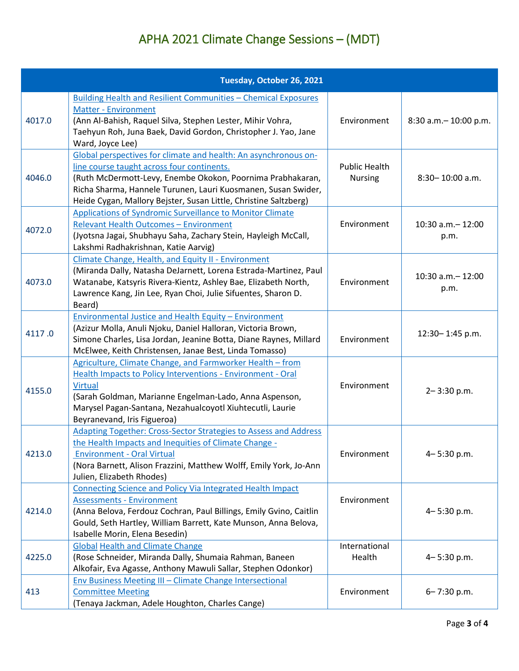## APHA 2021 Climate Change Sessions – (MDT)

|        | Tuesday, October 26, 2021                                                                                                                                                                                                                                                                                        |                                        |                            |
|--------|------------------------------------------------------------------------------------------------------------------------------------------------------------------------------------------------------------------------------------------------------------------------------------------------------------------|----------------------------------------|----------------------------|
| 4017.0 | <b>Building Health and Resilient Communities - Chemical Exposures</b><br><b>Matter - Environment</b><br>(Ann Al-Bahish, Raquel Silva, Stephen Lester, Mihir Vohra,<br>Taehyun Roh, Juna Baek, David Gordon, Christopher J. Yao, Jane<br>Ward, Joyce Lee)                                                         | Environment                            | 8:30 a.m. - 10:00 p.m.     |
| 4046.0 | Global perspectives for climate and health: An asynchronous on-<br>line course taught across four continents.<br>(Ruth McDermott-Levy, Enembe Okokon, Poornima Prabhakaran,<br>Richa Sharma, Hannele Turunen, Lauri Kuosmanen, Susan Swider,<br>Heide Cygan, Mallory Bejster, Susan Little, Christine Saltzberg) | <b>Public Health</b><br><b>Nursing</b> | 8:30-10:00 a.m.            |
| 4072.0 | Applications of Syndromic Surveillance to Monitor Climate<br>Relevant Health Outcomes - Environment<br>(Jyotsna Jagai, Shubhayu Saha, Zachary Stein, Hayleigh McCall,<br>Lakshmi Radhakrishnan, Katie Aarvig)                                                                                                    | Environment                            | 10:30 a.m. - 12:00<br>p.m. |
| 4073.0 | Climate Change, Health, and Equity II - Environment<br>(Miranda Dally, Natasha DeJarnett, Lorena Estrada-Martinez, Paul<br>Watanabe, Katsyris Rivera-Kientz, Ashley Bae, Elizabeth North,<br>Lawrence Kang, Jin Lee, Ryan Choi, Julie Sifuentes, Sharon D.<br>Beard)                                             | Environment                            | 10:30 a.m. - 12:00<br>p.m. |
| 4117.0 | <b>Environmental Justice and Health Equity - Environment</b><br>(Azizur Molla, Anuli Njoku, Daniel Halloran, Victoria Brown,<br>Simone Charles, Lisa Jordan, Jeanine Botta, Diane Raynes, Millard<br>McElwee, Keith Christensen, Janae Best, Linda Tomasso)                                                      | Environment                            | 12:30-1:45 p.m.            |
| 4155.0 | Agriculture, Climate Change, and Farmworker Health - from<br>Health Impacts to Policy Interventions - Environment - Oral<br><b>Virtual</b><br>(Sarah Goldman, Marianne Engelman-Lado, Anna Aspenson,<br>Marysel Pagan-Santana, Nezahualcoyotl Xiuhtecutli, Laurie<br>Beyranevand, Iris Figueroa)                 | Environment                            | $2 - 3:30$ p.m.            |
| 4213.0 | <b>Adapting Together: Cross-Sector Strategies to Assess and Address</b><br>the Health Impacts and Inequities of Climate Change -<br><b>Environment - Oral Virtual</b><br>(Nora Barnett, Alison Frazzini, Matthew Wolff, Emily York, Jo-Ann<br>Julien, Elizabeth Rhodes)                                          | Environment                            | 4-5:30 p.m.                |
| 4214.0 | Connecting Science and Policy Via Integrated Health Impact<br><b>Assessments - Environment</b><br>(Anna Belova, Ferdouz Cochran, Paul Billings, Emily Gvino, Caitlin<br>Gould, Seth Hartley, William Barrett, Kate Munson, Anna Belova,<br>Isabelle Morin, Elena Besedin)                                        | Environment                            | 4-5:30 p.m.                |
| 4225.0 | <b>Global Health and Climate Change</b><br>(Rose Schneider, Miranda Dally, Shumaia Rahman, Baneen<br>Alkofair, Eva Agasse, Anthony Mawuli Sallar, Stephen Odonkor)                                                                                                                                               | International<br>Health                | 4-5:30 p.m.                |
| 413    | <b>Env Business Meeting III - Climate Change Intersectional</b><br><b>Committee Meeting</b><br>(Tenaya Jackman, Adele Houghton, Charles Cange)                                                                                                                                                                   | Environment                            | 6-7:30 p.m.                |